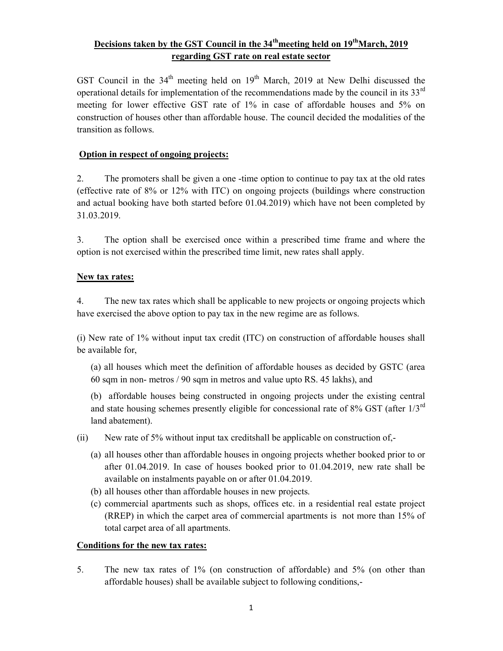# Decisions taken by the GST Council in the  $34<sup>th</sup>$  meeting held on  $19<sup>th</sup>$  March, 2019 regarding GST rate on real estate sector

GST Council in the  $34<sup>th</sup>$  meeting held on  $19<sup>th</sup>$  March, 2019 at New Delhi discussed the operational details for implementation of the recommendations made by the council in its  $33<sup>rd</sup>$ meeting for lower effective GST rate of 1% in case of affordable houses and 5% on construction of houses other than affordable house. The council decided the modalities of the transition as follows.

## Option in respect of ongoing projects:

2. The promoters shall be given a one -time option to continue to pay tax at the old rates (effective rate of 8% or 12% with ITC) on ongoing projects (buildings where construction and actual booking have both started before 01.04.2019) which have not been completed by 31.03.2019.

3. The option shall be exercised once within a prescribed time frame and where the option is not exercised within the prescribed time limit, new rates shall apply.

#### New tax rates:

4. The new tax rates which shall be applicable to new projects or ongoing projects which have exercised the above option to pay tax in the new regime are as follows.

(i) New rate of 1% without input tax credit (ITC) on construction of affordable houses shall be available for,

(a) all houses which meet the definition of affordable houses as decided by GSTC (area 60 sqm in non- metros / 90 sqm in metros and value upto RS. 45 lakhs), and

(b) affordable houses being constructed in ongoing projects under the existing central and state housing schemes presently eligible for concessional rate of 8% GST (after  $1/3^{rd}$ ) land abatement).

- (ii) New rate of 5% without input tax creditshall be applicable on construction of,-
	- (a) all houses other than affordable houses in ongoing projects whether booked prior to or after 01.04.2019. In case of houses booked prior to 01.04.2019, new rate shall be available on instalments payable on or after 01.04.2019.
	- (b) all houses other than affordable houses in new projects.
	- (c) commercial apartments such as shops, offices etc. in a residential real estate project (RREP) in which the carpet area of commercial apartments is not more than 15% of total carpet area of all apartments.

#### Conditions for the new tax rates:

5. The new tax rates of 1% (on construction of affordable) and 5% (on other than affordable houses) shall be available subject to following conditions,-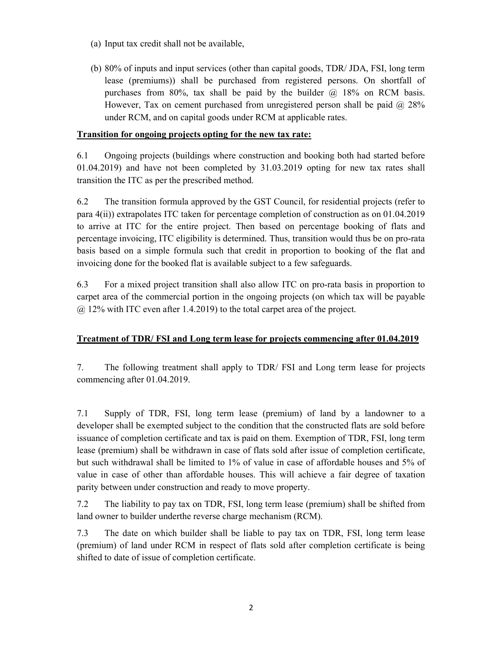- (a) Input tax credit shall not be available,
- (b) 80% of inputs and input services (other than capital goods, TDR/ JDA, FSI, long term lease (premiums)) shall be purchased from registered persons. On shortfall of purchases from 80%, tax shall be paid by the builder  $\omega$  18% on RCM basis. However, Tax on cement purchased from unregistered person shall be paid  $\omega$  28% under RCM, and on capital goods under RCM at applicable rates.

#### Transition for ongoing projects opting for the new tax rate:

6.1 Ongoing projects (buildings where construction and booking both had started before 01.04.2019) and have not been completed by 31.03.2019 opting for new tax rates shall transition the ITC as per the prescribed method.

6.2 The transition formula approved by the GST Council, for residential projects (refer to para 4(ii)) extrapolates ITC taken for percentage completion of construction as on 01.04.2019 to arrive at ITC for the entire project. Then based on percentage booking of flats and percentage invoicing, ITC eligibility is determined. Thus, transition would thus be on pro-rata basis based on a simple formula such that credit in proportion to booking of the flat and invoicing done for the booked flat is available subject to a few safeguards.

6.3 For a mixed project transition shall also allow ITC on pro-rata basis in proportion to carpet area of the commercial portion in the ongoing projects (on which tax will be payable  $\omega$  12% with ITC even after 1.4.2019) to the total carpet area of the project.

#### Treatment of TDR/ FSI and Long term lease for projects commencing after 01.04.2019

7. The following treatment shall apply to TDR/ FSI and Long term lease for projects commencing after 01.04.2019.

7.1 Supply of TDR, FSI, long term lease (premium) of land by a landowner to a developer shall be exempted subject to the condition that the constructed flats are sold before issuance of completion certificate and tax is paid on them. Exemption of TDR, FSI, long term lease (premium) shall be withdrawn in case of flats sold after issue of completion certificate, but such withdrawal shall be limited to 1% of value in case of affordable houses and 5% of value in case of other than affordable houses. This will achieve a fair degree of taxation parity between under construction and ready to move property.

7.2 The liability to pay tax on TDR, FSI, long term lease (premium) shall be shifted from land owner to builder underthe reverse charge mechanism (RCM).

7.3 The date on which builder shall be liable to pay tax on TDR, FSI, long term lease (premium) of land under RCM in respect of flats sold after completion certificate is being shifted to date of issue of completion certificate.